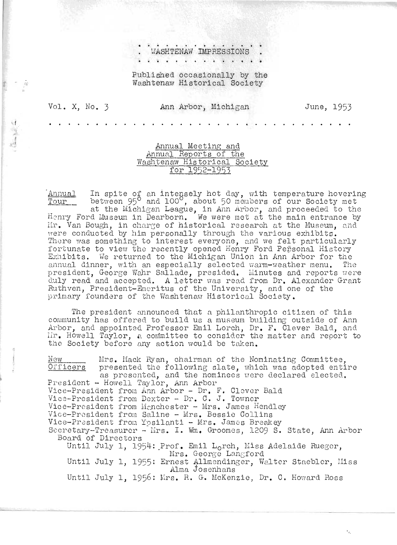WASHTENAW IMPRESSIONS

Published occasionally by the Washtenaw Historical Society

Vol. X.  $No. 3$ 

 $\mathcal{G}^{\Lambda}_{\mathcal{R}}$ 

 $\label{eq:2.1} \frac{1}{2}\left(\frac{N_{\rm{obs}}}{N_{\rm{obs}}}\right)\frac{d^2}{d^2} \leq 1.$ 

## Ann Arbor, Michigan

June, 1953

## Annual Meeting and Annual Reports of the Washtenaw Historical Society for 1952-1953

In spite of an intensely hot day, with temperature hovering<br>between  $95^{\circ}$  and 100°, about 50 members of our Society met Annual Tour at the Michigan League, in Ann Arbor, and proceeded to the Henry Ford Museum in Dearborn. We were met at the main entrance by Mir. Van Bough, in charge of historical research at the Museum, and were conducted by him personally through the various exhibits. There was something to interest everyone, and we felt particularly fortunate to view the recently opened Henry Ford Pensonal History Exhibits. We returned to the Michigan Union in Ann Arbor for the annual dinner, with an especially selected warm-weather menu. The president, George Wahr Sallade, presided. Minutes and reports were duly read and accepted. A letter was read from Dr. Alexander Grant Ruthven, President-Emeritus of the University, and one of the primary founders of the Washtenaw Historical Society.

The president announced that a philanthropic citizen of this community has offered to build us a museum building outside of Ann Arbor, and appointed Professor Emil Lorch, Dr. F. Clever Bald, and Mr. Howell Taylor, a committee to consider the matter and report to the Society before any action would be taken.

Mrs. Mack Ryan, chairman of the Nominating Committee, New Officers presented the following slate, which was adopted entire as presented, and the nominees were declared elected. President - Howell Taylor, Ann Arbor Vice-President from Ann Arbor - Dr. F. Clever Bald Vice-President from Dexter - Dr. C. J. Towner Vice-President from Manchester - Mrs. James Hendley Vice-President from Saline - Mrs. Bessie Collins Vice-President from Ypsilanti - Mrs. James Breakey Secretary-Treasurer - Mirs. I. Wm. Groomes, 1209 S. State, Ann Arbor Board of Directors Until July 1, 1954: Prof. Emil Lorch, Miss Adelaide Rueger, Mrs. George Langford Until July 1, 1955: Ernest Allmendinger, Walter Staebler, Miss Alma Josenhans Until July 1, 1956: Mrs. R. G. McKenzie, Dr. C. Howard Ross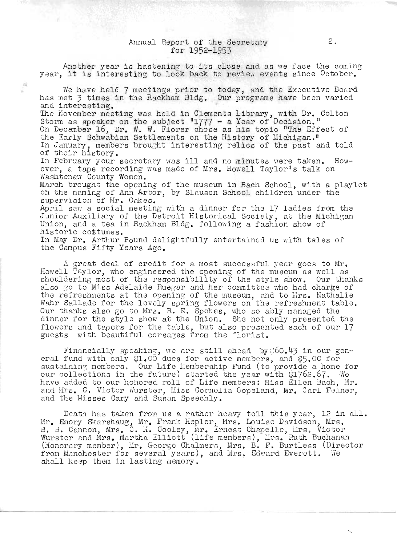## Annual Report of the Secretary for 1952-1953

 $\hat{x}_0^{\lambda}$ 

Another year is hastening to its close and as we face the coming year, it is interesting to look back to review events since  $October$ . We have held 7 meetings prior to today, and the Executive Board has met 3 times in the Rackham Bldg. Our programs have been varied and interesting. The November meeting was held in Clements Library, with Dr. Colton Storm as speaker on the subject  $"1777 - a$  Year of Decision." On December 16, Dr. W. W. Florer chose as his topic "The Effect of the Early Schwabian Settlements on the History of Michigan." In January, members brought interesting relics of the past and told of their history. In February your secretary was ill and no minutes were taken. However, a tape recording was made of Mrs. Howell Taylor's talk on Washtenaw County Women. March brought the opening of the museum in Bach School, with a playlet on the naming of Ann Arbor, by Slauson School children under the supervision of Mr. Oakes. April saw a social meeting with a dinner for the 17 ladies from the Junior Auxiliary of the Detroit Historical Society, at the Michigan Union, and a tea in Rackham Bldg. following a fashion show of historic costumes. In May Dr. Arthur Pound delightfully entertained us with tales of the Campus Fifty Years Ago.

A great deal of credit for a most successful year goes to Mr. Howell Taylor, who engineered the opening of the museum as well as shouldering most of the responsibility of the style show. Our thanks also go to Miss Adelaide Rueger and her committee who had charge of the refreshments at the opening of the museum, and to Mrs. Nathalie Wahr Sallade for the lovely spring flowers on the refreshment table. Our thanks also go to Mrs. R. E. Spokes, who so ably managed the dinner for the style show at the Union. She not only presented the flowers and tapers for the table, but also presented each of our 17 guests with beautiful corsages from the florist.

Financially speaking, we are still ahead by  $0.60.43$  in our general fund with only  $$1.00$  dues for active members, and  $$5.00$  for sustaining members. Our Life Membership Fund (to provide a home for our collections in the future) started the year with C1762.67. We have added to our honored roll of Life members: Miss Ellen Bach, Mr. and Mrs. C. Victor Wurster, Miss Cornelia Copeland, Mr. Carl Feiner, and the Hisses Cary and Susan Speechly.

Death has taken from us a rather heavy toll this year, 12 in all. Mr. Emory Skarshaug, Mr. Franl: Hepler, Hrs. Louise Davidson, Mrs. B. B. Cannon, Mrs. C. H. Cooley, Mr. Ernest Chapelle, Mrs. Victor s. B. Cannon, mrs. C. n. Cooley, mr. Ernest chapelle, nrs. victor<br>Wurster and Mrs. Martha Elliott (life members), lirs. Ruth Buchanan (Honorary member), Mr. George Chalmers, Mrs. B. F. Burtless (Director from Manchester for several years), and Mrs. Edward Everett. We shall keep them in lasting memory.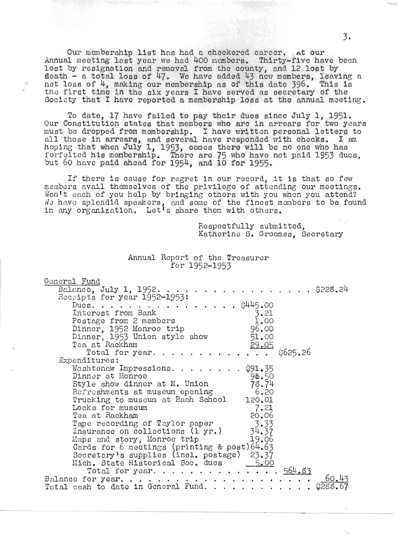Our membership list has had a checkered career. At our Annual meeting last year we had 400 members. Thirty-five have beon lost by resignation and removal from the county, and 12 lost by ost by resignation and removal from the county, and iz lost by<br>leath - a total loss of 47. We have added 43 new members. leaving a net - a total loss of 47. We have added 43 new members, leaving and it was in the same of 4. making our membership as of this date 396. This is the first of 4, making our membership as of this date 390. This is<br>he first time in the six years I have served as secretary of the ne iirst time in the six years I have served as secretary of the<br>Society that I have reported a membership loss at the annual meeting.

n)

To date, 17 have failed to pay their dues since July 1, 1951. Our Constitution states that members who are in arrears for two years ur constitution states that members who are in arrears for two years<br>ust be dropped from membership. I have written personal letters to ust be dropped from membership. I have written personal letters to<br>11 those in arrears, and several have responded with checks. I am hoping that when July 1, 1953, comes there will be no one who has forfeited his membership. There are 75 who have not paid 1953 dues, but 60 have paid ahead for 1954, and 10 for 1955.

If there is cause for regret in our record, it is that so few ~embers avail thomselves of the privilege of attending our meetings. Won't each of you help by bringing others with you when you attend? We have splendid speakers, and some of the finest members to be found in any organization. Let<sup>1</sup>s share them with others.

> Respectfully submitted, Katherine S. Groomes, Secretary

| General Fund                                             |
|----------------------------------------------------------|
| $\ldots$ $\frac{6}{228}$ . 24<br>Balance, July 1, 1952.  |
| Receipts for year 1952-1953:                             |
| \$445.00<br>Dues. $\ldots$                               |
| Interest from Bank<br>3.21                               |
| 1.00<br>Postage from 2 members                           |
| 96.00<br>Dinner, 1952 Monroe trip                        |
| Dinner, 1953 Union style show<br>51.00                   |
| Tea at Rackham<br>29.05                                  |
| \$625.26<br>Total for year                               |
| Expenditures:                                            |
| Washtenaw Impressions. \$91.35                           |
| Dinner at Monroe<br>9a.50                                |
| 78.74<br>Style show dinner at M. Union                   |
| 6.20<br>Refreshments at museum opening                   |
| Trucking to museum at Bach School<br>120.01              |
| 7.21<br>Locks for museum                                 |
| 20.06<br>Tea at Rackham                                  |
| Tape recording of Taylor paper<br>3.33                   |
| 34.37<br>Insurance on collections (1 yr.)                |
| 19.06<br>Maps and story, Monroe trip                     |
| Cards for 6 meetings (printing & post) 64.63             |
| Secretary's supplies (incl. postage) 23.37               |
| Mich, State Historical Soc. dues ___<br>5.00             |
| Total for year 564.83                                    |
| 60.43                                                    |
| \$288.<br>Total cash to date in General Fund. $\ldots$ , |

Annual Report of the Treasurer for 1952-1953